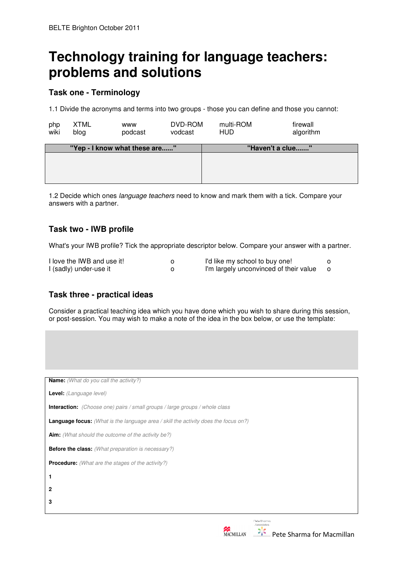# **Technology training for language teachers: problems and solutions**

### **Task one - Terminology**

1.1 Divide the acronyms and terms into two groups - those you can define and those you cannot:

| php<br>wiki | <b>XTML</b><br>blog           | <b>WWW</b><br>podcast | DVD-ROM<br>vodcast | multi-ROM<br><b>HUD</b> | firewall<br>algorithm |  |
|-------------|-------------------------------|-----------------------|--------------------|-------------------------|-----------------------|--|
|             | "Yep - I know what these are" |                       |                    | "Haven't a clue"        |                       |  |
|             |                               |                       |                    |                         |                       |  |

1.2 Decide which ones language teachers need to know and mark them with a tick. Compare your answers with a partner.

## **Task two - IWB profile**

What's your IWB profile? Tick the appropriate descriptor below. Compare your answer with a partner.

| I love the IWB and use it! | I'd like my school to buy one!         |  |
|----------------------------|----------------------------------------|--|
| I (sadly) under-use it     | I'm largely unconvinced of their value |  |

#### **Task three - practical ideas**

Consider a practical teaching idea which you have done which you wish to share during this session, or post-session. You may wish to make a note of the idea in the box below, or use the template:

| <b>Name:</b> (What do you call the activity?)                                              |  |  |  |  |
|--------------------------------------------------------------------------------------------|--|--|--|--|
| <b>Level:</b> (Language level)                                                             |  |  |  |  |
| <b>Interaction:</b> (Choose one) pairs / small groups / large groups / whole class         |  |  |  |  |
| <b>Language focus:</b> (What is the language area / skill the activity does the focus on?) |  |  |  |  |
| <b>Aim:</b> (What should the outcome of the activity be?)                                  |  |  |  |  |
| <b>Before the class:</b> (What preparation is necessary?)                                  |  |  |  |  |
| <b>Procedure:</b> (What are the stages of the activity?)                                   |  |  |  |  |
| 1                                                                                          |  |  |  |  |
| 2                                                                                          |  |  |  |  |
| 3                                                                                          |  |  |  |  |
| Pete Sharma<br>Accoclated<br>ه. ا<br>۰.                                                    |  |  |  |  |
| Pete Sharma for Macmillan                                                                  |  |  |  |  |